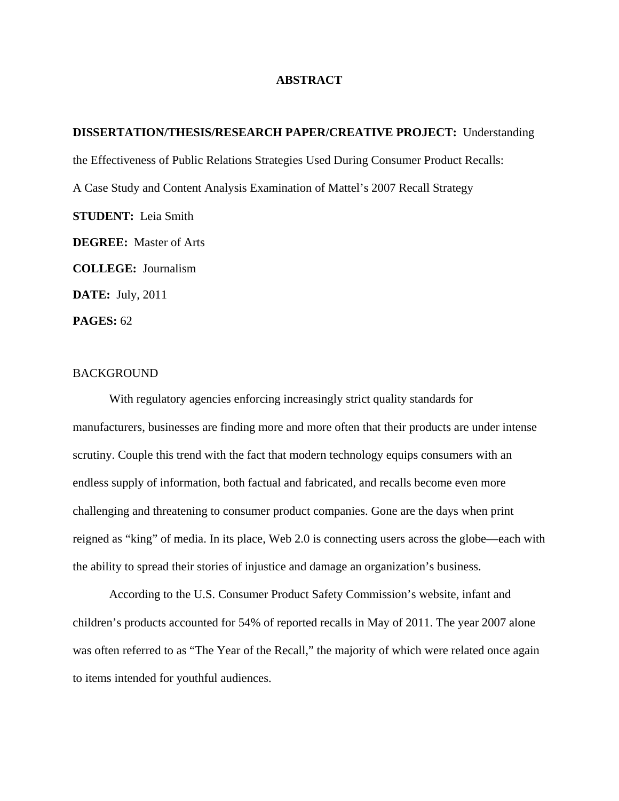## **ABSTRACT**

## **DISSERTATION/THESIS/RESEARCH PAPER/CREATIVE PROJECT:** Understanding

the Effectiveness of Public Relations Strategies Used During Consumer Product Recalls:

A Case Study and Content Analysis Examination of Mattel's 2007 Recall Strategy

**STUDENT:** Leia Smith

**DEGREE:** Master of Arts

**COLLEGE:** Journalism

**DATE:** July, 2011

**PAGES:** 62

# BACKGROUND

With regulatory agencies enforcing increasingly strict quality standards for manufacturers, businesses are finding more and more often that their products are under intense scrutiny. Couple this trend with the fact that modern technology equips consumers with an endless supply of information, both factual and fabricated, and recalls become even more challenging and threatening to consumer product companies. Gone are the days when print reigned as "king" of media. In its place, Web 2.0 is connecting users across the globe—each with the ability to spread their stories of injustice and damage an organization's business.

According to the U.S. Consumer Product Safety Commission's website, infant and children's products accounted for 54% of reported recalls in May of 2011. The year 2007 alone was often referred to as "The Year of the Recall," the majority of which were related once again to items intended for youthful audiences.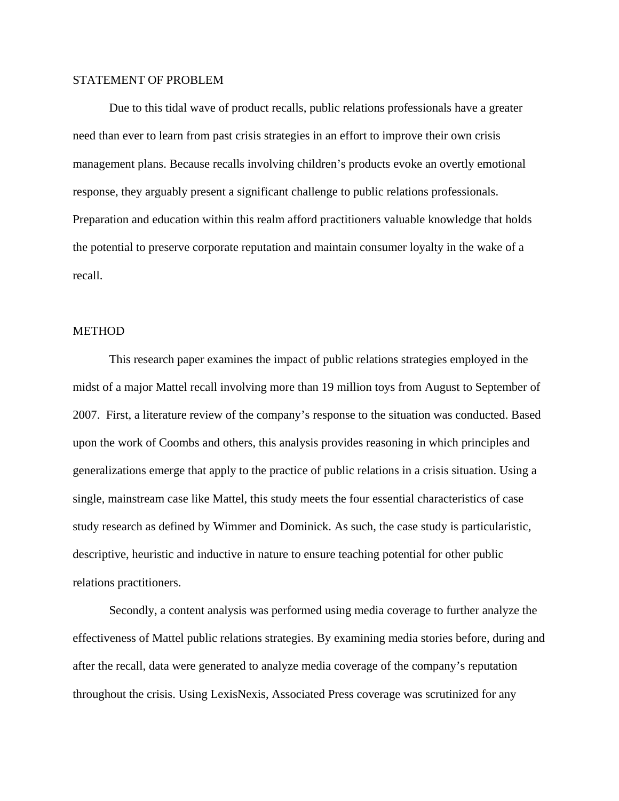# STATEMENT OF PROBLEM

Due to this tidal wave of product recalls, public relations professionals have a greater need than ever to learn from past crisis strategies in an effort to improve their own crisis management plans. Because recalls involving children's products evoke an overtly emotional response, they arguably present a significant challenge to public relations professionals. Preparation and education within this realm afford practitioners valuable knowledge that holds the potential to preserve corporate reputation and maintain consumer loyalty in the wake of a recall.

# **METHOD**

This research paper examines the impact of public relations strategies employed in the midst of a major Mattel recall involving more than 19 million toys from August to September of 2007. First, a literature review of the company's response to the situation was conducted. Based upon the work of Coombs and others, this analysis provides reasoning in which principles and generalizations emerge that apply to the practice of public relations in a crisis situation. Using a single, mainstream case like Mattel, this study meets the four essential characteristics of case study research as defined by Wimmer and Dominick. As such, the case study is particularistic, descriptive, heuristic and inductive in nature to ensure teaching potential for other public relations practitioners.

Secondly, a content analysis was performed using media coverage to further analyze the effectiveness of Mattel public relations strategies. By examining media stories before, during and after the recall, data were generated to analyze media coverage of the company's reputation throughout the crisis. Using LexisNexis, Associated Press coverage was scrutinized for any